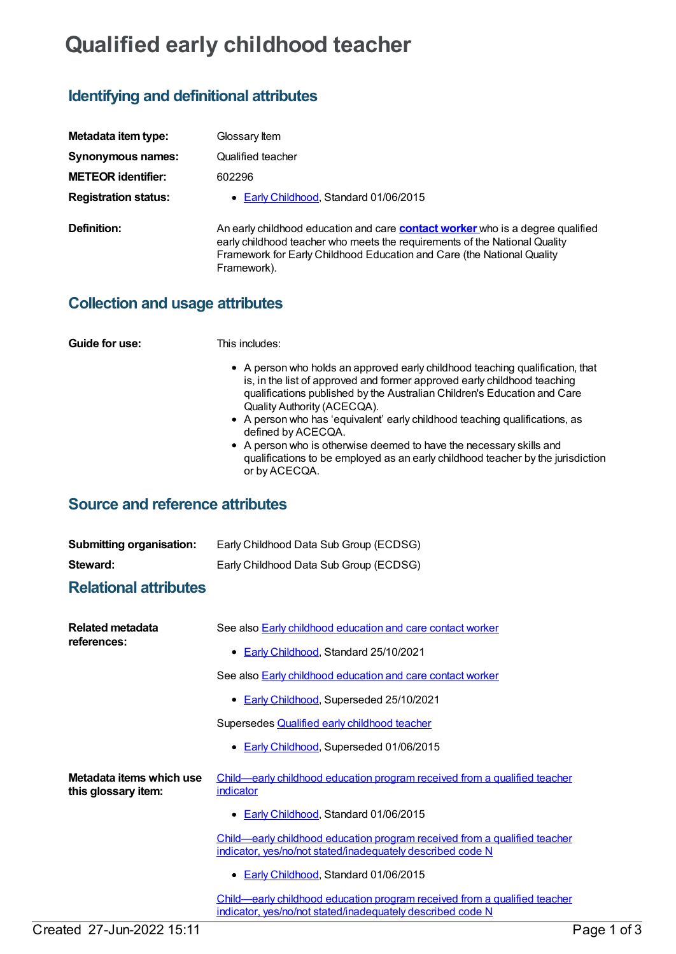## **Qualified early childhood teacher**

## **Identifying and definitional attributes**

| Metadata item type:         | Glossary Item                                                                                                                                                                                                                                                |
|-----------------------------|--------------------------------------------------------------------------------------------------------------------------------------------------------------------------------------------------------------------------------------------------------------|
| Synonymous names:           | Qualified teacher                                                                                                                                                                                                                                            |
| <b>METEOR identifier:</b>   | 602296                                                                                                                                                                                                                                                       |
| <b>Registration status:</b> | • Early Childhood, Standard 01/06/2015                                                                                                                                                                                                                       |
| Definition:                 | An early childhood education and care <b>contact worker</b> who is a degree qualified<br>early childhood teacher who meets the requirements of the National Quality<br>Framework for Early Childhood Education and Care (the National Quality<br>Framework). |

**Collection and usage attributes**

**Guide for use:** This includes:

- A person who holds an approved early childhood teaching qualification, that is, in the list of approved and former approved early childhood teaching qualifications published by the Australian Children's Education and Care Quality Authority (ACECQA).
- A person who has 'equivalent' early childhood teaching qualifications, as defined by ACECQA.
- A person who is otherwise deemed to have the necessary skills and qualifications to be employed as an early childhood teacher by the jurisdiction or by ACECQA.

## **Source and reference attributes**

| <b>Submitting organisation:</b> | Early Childhood Data Sub Group (ECDSG) |
|---------------------------------|----------------------------------------|
| Steward:                        | Early Childhood Data Sub Group (ECDSG) |

## **Relational attributes**

| Related metadata<br>references:                 | See also <b>Early childhood education and care contact worker</b>                                                                       |             |
|-------------------------------------------------|-----------------------------------------------------------------------------------------------------------------------------------------|-------------|
|                                                 | • Early Childhood, Standard 25/10/2021                                                                                                  |             |
|                                                 | See also <b>Early childhood education and care contact worker</b>                                                                       |             |
|                                                 | • Early Childhood, Superseded 25/10/2021                                                                                                |             |
|                                                 | Supersedes <b>Qualified early childhood teacher</b>                                                                                     |             |
|                                                 | • Early Childhood, Superseded 01/06/2015                                                                                                |             |
| Metadata items which use<br>this glossary item: | Child—early childhood education program received from a qualified teacher<br>indicator                                                  |             |
|                                                 | • Early Childhood, Standard 01/06/2015                                                                                                  |             |
|                                                 | Child—early childhood education program received from a qualified teacher<br>indicator, yes/no/not stated/inadequately described code N |             |
|                                                 | • Early Childhood, Standard 01/06/2015                                                                                                  |             |
|                                                 | Child—early childhood education program received from a qualified teacher<br>indicator, yes/no/not stated/inadequately described code N |             |
| Created 27-Jun-2022 15:11                       |                                                                                                                                         | Page 1 of 3 |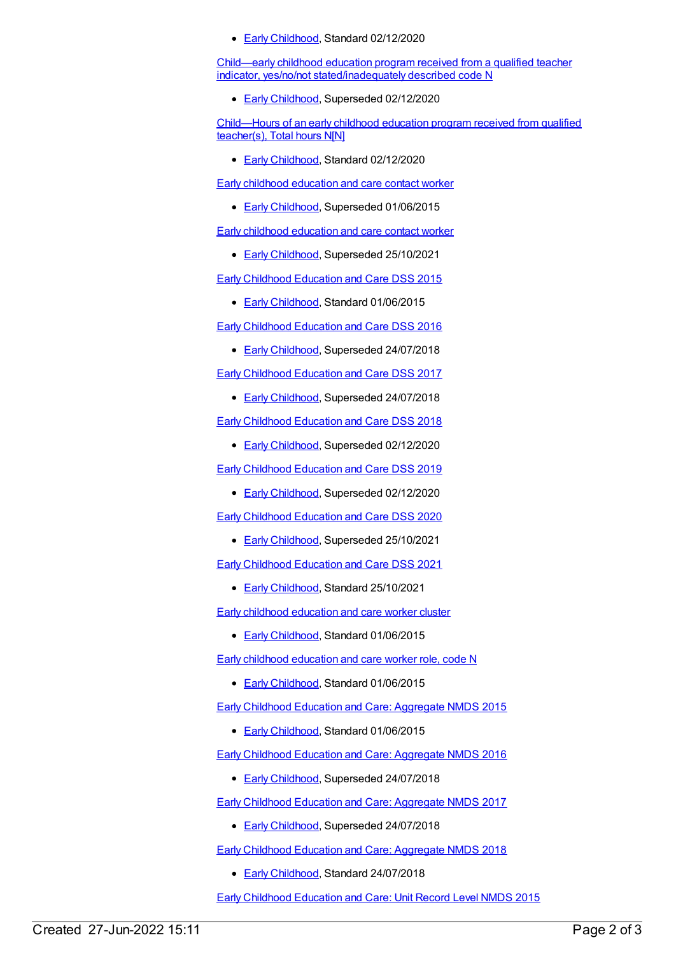**Early [Childhood](https://meteor.aihw.gov.au/RegistrationAuthority/13), Standard 02/12/2020** 

Child—early childhood education program received from a qualified teacher indicator, yes/no/not [stated/inadequately](https://meteor.aihw.gov.au/content/731361) described code N

**Early [Childhood](https://meteor.aihw.gov.au/RegistrationAuthority/13), Superseded 02/12/2020** 

[Child—Hours](https://meteor.aihw.gov.au/content/731172) of an early childhood education program received from qualified teacher(s), Total hours N[N]

Early [Childhood](https://meteor.aihw.gov.au/RegistrationAuthority/13), Standard 02/12/2020

Early childhood [education](https://meteor.aihw.gov.au/content/558869) and care contact worker

**Early [Childhood](https://meteor.aihw.gov.au/RegistrationAuthority/13), Superseded 01/06/2015** 

Early childhood [education](https://meteor.aihw.gov.au/content/602294) and care contact worker

**Early [Childhood](https://meteor.aihw.gov.au/RegistrationAuthority/13), Superseded 25/10/2021** 

Early [Childhood](https://meteor.aihw.gov.au/content/602243) Education and Care DSS 2015

• Early [Childhood](https://meteor.aihw.gov.au/RegistrationAuthority/13), Standard 01/06/2015

Early [Childhood](https://meteor.aihw.gov.au/content/685997) Education and Care DSS 2016

**Early [Childhood](https://meteor.aihw.gov.au/RegistrationAuthority/13), Superseded 24/07/2018** 

Early [Childhood](https://meteor.aihw.gov.au/content/686041) Education and Care DSS 2017

**Early [Childhood](https://meteor.aihw.gov.au/RegistrationAuthority/13), Superseded 24/07/2018** 

Early [Childhood](https://meteor.aihw.gov.au/content/686186) Education and Care DSS 2018

**Early [Childhood](https://meteor.aihw.gov.au/RegistrationAuthority/13), Superseded 02/12/2020** 

Early [Childhood](https://meteor.aihw.gov.au/content/731151) Education and Care DSS 2019

Early [Childhood](https://meteor.aihw.gov.au/RegistrationAuthority/13), Superseded 02/12/2020

Early [Childhood](https://meteor.aihw.gov.au/content/731165) Education and Care DSS 2020

Early [Childhood](https://meteor.aihw.gov.au/RegistrationAuthority/13), Superseded 25/10/2021

Early [Childhood](https://meteor.aihw.gov.au/content/746434) Education and Care DSS 2021

**Early [Childhood](https://meteor.aihw.gov.au/RegistrationAuthority/13), Standard 25/10/2021** 

Early childhood [education](https://meteor.aihw.gov.au/content/602275) and care worker cluster

• Early [Childhood](https://meteor.aihw.gov.au/RegistrationAuthority/13), Standard 01/06/2015

Early childhood [education](https://meteor.aihw.gov.au/content/603021) and care worker role, code N

● Early [Childhood](https://meteor.aihw.gov.au/RegistrationAuthority/13), Standard 01/06/2015

Early Childhood Education and Care: [Aggregate](https://meteor.aihw.gov.au/content/602245) NMDS 2015

**Early [Childhood](https://meteor.aihw.gov.au/RegistrationAuthority/13), Standard 01/06/2015** 

Early Childhood Education and Care: [Aggregate](https://meteor.aihw.gov.au/content/686012) NMDS 2016

**Early [Childhood](https://meteor.aihw.gov.au/RegistrationAuthority/13), Superseded 24/07/2018** 

Early Childhood Education and Care: [Aggregate](https://meteor.aihw.gov.au/content/686049) NMDS 2017

**Early [Childhood](https://meteor.aihw.gov.au/RegistrationAuthority/13), Superseded 24/07/2018** 

Early Childhood Education and Care: [Aggregate](https://meteor.aihw.gov.au/content/686212) NMDS 2018

Early [Childhood](https://meteor.aihw.gov.au/RegistrationAuthority/13), Standard 24/07/2018

Early [Childhood](https://meteor.aihw.gov.au/content/602247) Education and Care: Unit Record Level NMDS 2015